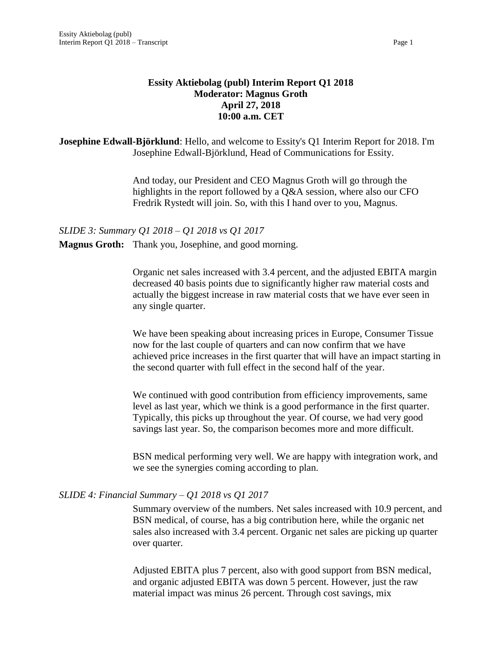# **Essity Aktiebolag (publ) Interim Report Q1 2018 Moderator: Magnus Groth April 27, 2018 10:00 a.m. CET**

**Josephine Edwall-Björklund**: Hello, and welcome to Essity's Q1 Interim Report for 2018. I'm Josephine Edwall-Björklund, Head of Communications for Essity.

> And today, our President and CEO Magnus Groth will go through the highlights in the report followed by a Q&A session, where also our CFO Fredrik Rystedt will join. So, with this I hand over to you, Magnus.

*SLIDE 3: Summary Q1 2018 – Q1 2018 vs Q1 2017* **Magnus Groth:** Thank you, Josephine, and good morning.

> Organic net sales increased with 3.4 percent, and the adjusted EBITA margin decreased 40 basis points due to significantly higher raw material costs and actually the biggest increase in raw material costs that we have ever seen in any single quarter.

We have been speaking about increasing prices in Europe, Consumer Tissue now for the last couple of quarters and can now confirm that we have achieved price increases in the first quarter that will have an impact starting in the second quarter with full effect in the second half of the year.

We continued with good contribution from efficiency improvements, same level as last year, which we think is a good performance in the first quarter. Typically, this picks up throughout the year. Of course, we had very good savings last year. So, the comparison becomes more and more difficult.

BSN medical performing very well. We are happy with integration work, and we see the synergies coming according to plan.

# *SLIDE 4: Financial Summary – Q1 2018 vs Q1 2017*

Summary overview of the numbers. Net sales increased with 10.9 percent, and BSN medical, of course, has a big contribution here, while the organic net sales also increased with 3.4 percent. Organic net sales are picking up quarter over quarter.

Adjusted EBITA plus 7 percent, also with good support from BSN medical, and organic adjusted EBITA was down 5 percent. However, just the raw material impact was minus 26 percent. Through cost savings, mix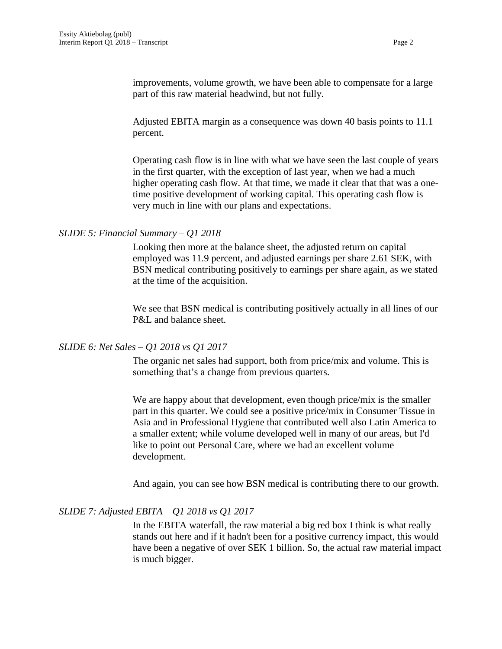improvements, volume growth, we have been able to compensate for a large part of this raw material headwind, but not fully.

Adjusted EBITA margin as a consequence was down 40 basis points to 11.1 percent.

Operating cash flow is in line with what we have seen the last couple of years in the first quarter, with the exception of last year, when we had a much higher operating cash flow. At that time, we made it clear that that was a onetime positive development of working capital. This operating cash flow is very much in line with our plans and expectations.

### *SLIDE 5: Financial Summary – Q1 2018*

Looking then more at the balance sheet, the adjusted return on capital employed was 11.9 percent, and adjusted earnings per share 2.61 SEK, with BSN medical contributing positively to earnings per share again, as we stated at the time of the acquisition.

We see that BSN medical is contributing positively actually in all lines of our P&L and balance sheet.

# *SLIDE 6: Net Sales – Q1 2018 vs Q1 2017*

The organic net sales had support, both from price/mix and volume. This is something that's a change from previous quarters.

We are happy about that development, even though price/mix is the smaller part in this quarter. We could see a positive price/mix in Consumer Tissue in Asia and in Professional Hygiene that contributed well also Latin America to a smaller extent; while volume developed well in many of our areas, but I'd like to point out Personal Care, where we had an excellent volume development.

And again, you can see how BSN medical is contributing there to our growth.

### *SLIDE 7: Adjusted EBITA – Q1 2018 vs Q1 2017*

In the EBITA waterfall, the raw material a big red box I think is what really stands out here and if it hadn't been for a positive currency impact, this would have been a negative of over SEK 1 billion. So, the actual raw material impact is much bigger.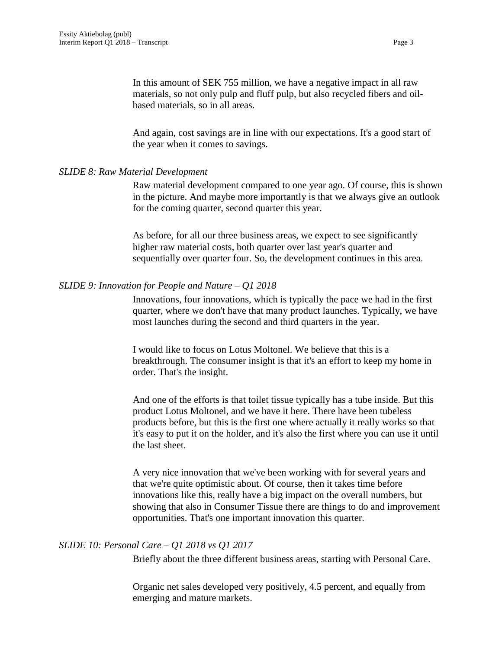In this amount of SEK 755 million, we have a negative impact in all raw materials, so not only pulp and fluff pulp, but also recycled fibers and oilbased materials, so in all areas.

And again, cost savings are in line with our expectations. It's a good start of the year when it comes to savings.

### *SLIDE 8: Raw Material Development*

Raw material development compared to one year ago. Of course, this is shown in the picture. And maybe more importantly is that we always give an outlook for the coming quarter, second quarter this year.

As before, for all our three business areas, we expect to see significantly higher raw material costs, both quarter over last year's quarter and sequentially over quarter four. So, the development continues in this area.

# *SLIDE 9: Innovation for People and Nature – Q1 2018*

Innovations, four innovations, which is typically the pace we had in the first quarter, where we don't have that many product launches. Typically, we have most launches during the second and third quarters in the year.

I would like to focus on Lotus Moltonel. We believe that this is a breakthrough. The consumer insight is that it's an effort to keep my home in order. That's the insight.

And one of the efforts is that toilet tissue typically has a tube inside. But this product Lotus Moltonel, and we have it here. There have been tubeless products before, but this is the first one where actually it really works so that it's easy to put it on the holder, and it's also the first where you can use it until the last sheet.

A very nice innovation that we've been working with for several years and that we're quite optimistic about. Of course, then it takes time before innovations like this, really have a big impact on the overall numbers, but showing that also in Consumer Tissue there are things to do and improvement opportunities. That's one important innovation this quarter.

### *SLIDE 10: Personal Care – Q1 2018 vs Q1 2017*

Briefly about the three different business areas, starting with Personal Care.

Organic net sales developed very positively, 4.5 percent, and equally from emerging and mature markets.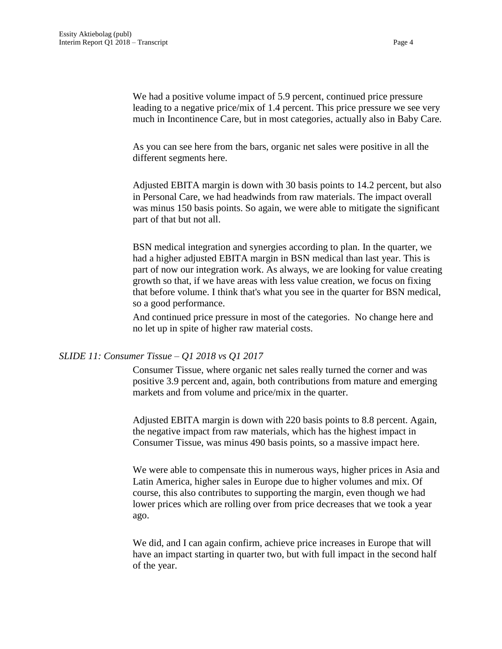We had a positive volume impact of 5.9 percent, continued price pressure leading to a negative price/mix of 1.4 percent. This price pressure we see very much in Incontinence Care, but in most categories, actually also in Baby Care.

As you can see here from the bars, organic net sales were positive in all the different segments here.

Adjusted EBITA margin is down with 30 basis points to 14.2 percent, but also in Personal Care, we had headwinds from raw materials. The impact overall was minus 150 basis points. So again, we were able to mitigate the significant part of that but not all.

BSN medical integration and synergies according to plan. In the quarter, we had a higher adjusted EBITA margin in BSN medical than last year. This is part of now our integration work. As always, we are looking for value creating growth so that, if we have areas with less value creation, we focus on fixing that before volume. I think that's what you see in the quarter for BSN medical, so a good performance.

And continued price pressure in most of the categories. No change here and no let up in spite of higher raw material costs.

# *SLIDE 11: Consumer Tissue – Q1 2018 vs Q1 2017*

Consumer Tissue, where organic net sales really turned the corner and was positive 3.9 percent and, again, both contributions from mature and emerging markets and from volume and price/mix in the quarter.

Adjusted EBITA margin is down with 220 basis points to 8.8 percent. Again, the negative impact from raw materials, which has the highest impact in Consumer Tissue, was minus 490 basis points, so a massive impact here.

We were able to compensate this in numerous ways, higher prices in Asia and Latin America, higher sales in Europe due to higher volumes and mix. Of course, this also contributes to supporting the margin, even though we had lower prices which are rolling over from price decreases that we took a year ago.

We did, and I can again confirm, achieve price increases in Europe that will have an impact starting in quarter two, but with full impact in the second half of the year.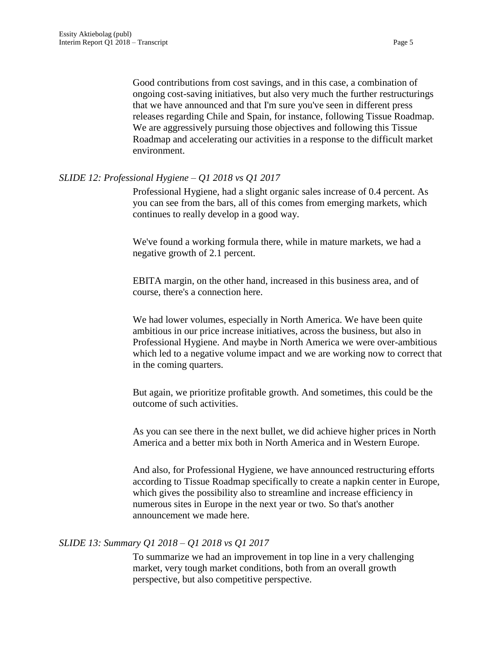Good contributions from cost savings, and in this case, a combination of ongoing cost-saving initiatives, but also very much the further restructurings that we have announced and that I'm sure you've seen in different press releases regarding Chile and Spain, for instance, following Tissue Roadmap. We are aggressively pursuing those objectives and following this Tissue Roadmap and accelerating our activities in a response to the difficult market environment.

### *SLIDE 12: Professional Hygiene – Q1 2018 vs Q1 2017*

Professional Hygiene, had a slight organic sales increase of 0.4 percent. As you can see from the bars, all of this comes from emerging markets, which continues to really develop in a good way.

We've found a working formula there, while in mature markets, we had a negative growth of 2.1 percent.

EBITA margin, on the other hand, increased in this business area, and of course, there's a connection here.

We had lower volumes, especially in North America. We have been quite ambitious in our price increase initiatives, across the business, but also in Professional Hygiene. And maybe in North America we were over-ambitious which led to a negative volume impact and we are working now to correct that in the coming quarters.

But again, we prioritize profitable growth. And sometimes, this could be the outcome of such activities.

As you can see there in the next bullet, we did achieve higher prices in North America and a better mix both in North America and in Western Europe.

And also, for Professional Hygiene, we have announced restructuring efforts according to Tissue Roadmap specifically to create a napkin center in Europe, which gives the possibility also to streamline and increase efficiency in numerous sites in Europe in the next year or two. So that's another announcement we made here.

#### *SLIDE 13: Summary Q1 2018 – Q1 2018 vs Q1 2017*

To summarize we had an improvement in top line in a very challenging market, very tough market conditions, both from an overall growth perspective, but also competitive perspective.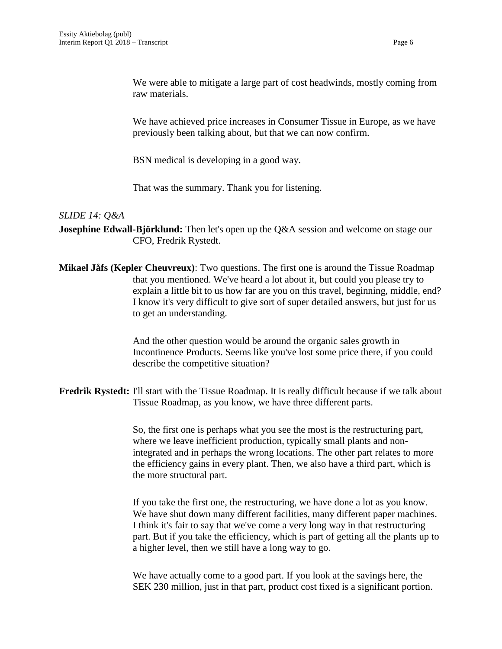We were able to mitigate a large part of cost headwinds, mostly coming from raw materials.

We have achieved price increases in Consumer Tissue in Europe, as we have previously been talking about, but that we can now confirm.

BSN medical is developing in a good way.

That was the summary. Thank you for listening.

### *SLIDE 14: Q&A*

**Josephine Edwall-Björklund:** Then let's open up the Q&A session and welcome on stage our CFO, Fredrik Rystedt.

**Mikael Jåfs (Kepler Cheuvreux)**: Two questions. The first one is around the Tissue Roadmap that you mentioned. We've heard a lot about it, but could you please try to explain a little bit to us how far are you on this travel, beginning, middle, end? I know it's very difficult to give sort of super detailed answers, but just for us to get an understanding.

> And the other question would be around the organic sales growth in Incontinence Products. Seems like you've lost some price there, if you could describe the competitive situation?

**Fredrik Rystedt:** I'll start with the Tissue Roadmap. It is really difficult because if we talk about Tissue Roadmap, as you know, we have three different parts.

> So, the first one is perhaps what you see the most is the restructuring part, where we leave inefficient production, typically small plants and nonintegrated and in perhaps the wrong locations. The other part relates to more the efficiency gains in every plant. Then, we also have a third part, which is the more structural part.

If you take the first one, the restructuring, we have done a lot as you know. We have shut down many different facilities, many different paper machines. I think it's fair to say that we've come a very long way in that restructuring part. But if you take the efficiency, which is part of getting all the plants up to a higher level, then we still have a long way to go.

We have actually come to a good part. If you look at the savings here, the SEK 230 million, just in that part, product cost fixed is a significant portion.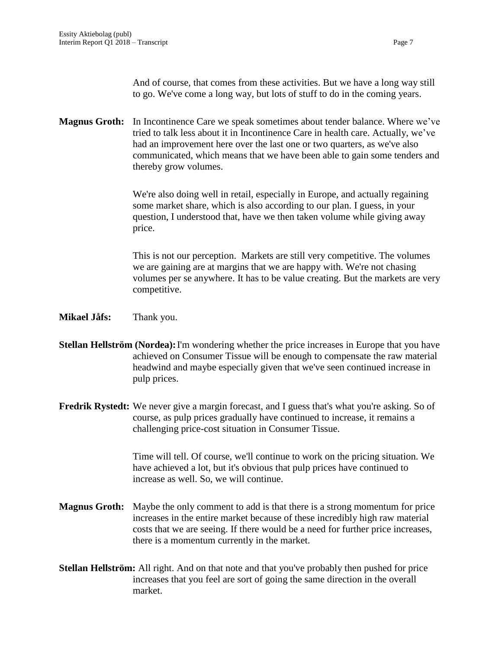And of course, that comes from these activities. But we have a long way still to go. We've come a long way, but lots of stuff to do in the coming years.

**Magnus Groth:** In Incontinence Care we speak sometimes about tender balance. Where we've tried to talk less about it in Incontinence Care in health care. Actually, we've had an improvement here over the last one or two quarters, as we've also communicated, which means that we have been able to gain some tenders and thereby grow volumes.

> We're also doing well in retail, especially in Europe, and actually regaining some market share, which is also according to our plan. I guess, in your question, I understood that, have we then taken volume while giving away price.

This is not our perception. Markets are still very competitive. The volumes we are gaining are at margins that we are happy with. We're not chasing volumes per se anywhere. It has to be value creating. But the markets are very competitive.

**Mikael Jåfs:** Thank you.

- **Stellan Hellström (Nordea):**I'm wondering whether the price increases in Europe that you have achieved on Consumer Tissue will be enough to compensate the raw material headwind and maybe especially given that we've seen continued increase in pulp prices.
- **Fredrik Rystedt:** We never give a margin forecast, and I guess that's what you're asking. So of course, as pulp prices gradually have continued to increase, it remains a challenging price-cost situation in Consumer Tissue.

Time will tell. Of course, we'll continue to work on the pricing situation. We have achieved a lot, but it's obvious that pulp prices have continued to increase as well. So, we will continue.

- **Magnus Groth:** Maybe the only comment to add is that there is a strong momentum for price increases in the entire market because of these incredibly high raw material costs that we are seeing. If there would be a need for further price increases, there is a momentum currently in the market.
- **Stellan Hellström:** All right. And on that note and that you've probably then pushed for price increases that you feel are sort of going the same direction in the overall market.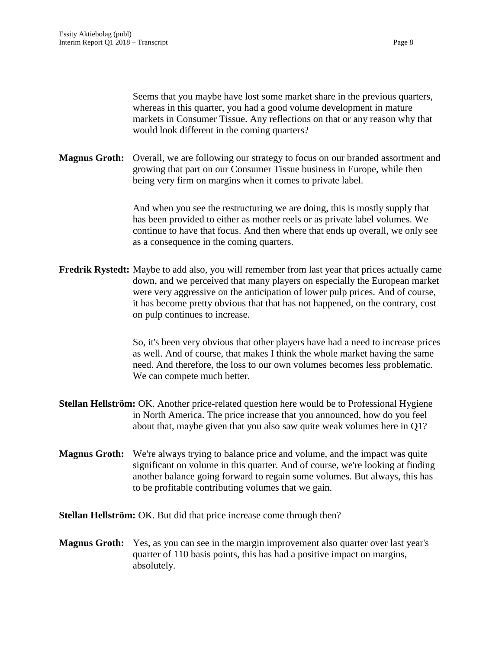Seems that you maybe have lost some market share in the previous quarters, whereas in this quarter, you had a good volume development in mature markets in Consumer Tissue. Any reflections on that or any reason why that would look different in the coming quarters?

**Magnus Groth:** Overall, we are following our strategy to focus on our branded assortment and growing that part on our Consumer Tissue business in Europe, while then being very firm on margins when it comes to private label.

> And when you see the restructuring we are doing, this is mostly supply that has been provided to either as mother reels or as private label volumes. We continue to have that focus. And then where that ends up overall, we only see as a consequence in the coming quarters.

**Fredrik Rystedt:** Maybe to add also, you will remember from last year that prices actually came down, and we perceived that many players on especially the European market were very aggressive on the anticipation of lower pulp prices. And of course, it has become pretty obvious that that has not happened, on the contrary, cost on pulp continues to increase.

> So, it's been very obvious that other players have had a need to increase prices as well. And of course, that makes I think the whole market having the same need. And therefore, the loss to our own volumes becomes less problematic. We can compete much better.

- **Stellan Hellström:** OK. Another price-related question here would be to Professional Hygiene in North America. The price increase that you announced, how do you feel about that, maybe given that you also saw quite weak volumes here in Q1?
- **Magnus Groth:** We're always trying to balance price and volume, and the impact was quite significant on volume in this quarter. And of course, we're looking at finding another balance going forward to regain some volumes. But always, this has to be profitable contributing volumes that we gain.

**Stellan Hellström:** OK. But did that price increase come through then?

**Magnus Groth:** Yes, as you can see in the margin improvement also quarter over last year's quarter of 110 basis points, this has had a positive impact on margins, absolutely.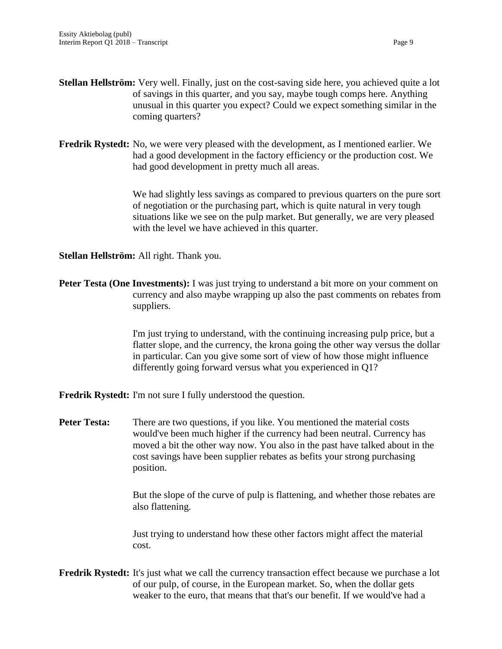- **Stellan Hellström:** Very well. Finally, just on the cost-saving side here, you achieved quite a lot of savings in this quarter, and you say, maybe tough comps here. Anything unusual in this quarter you expect? Could we expect something similar in the coming quarters?
- **Fredrik Rystedt:** No, we were very pleased with the development, as I mentioned earlier. We had a good development in the factory efficiency or the production cost. We had good development in pretty much all areas.

We had slightly less savings as compared to previous quarters on the pure sort of negotiation or the purchasing part, which is quite natural in very tough situations like we see on the pulp market. But generally, we are very pleased with the level we have achieved in this quarter.

**Stellan Hellström:** All right. Thank you.

**Peter Testa (One Investments):** I was just trying to understand a bit more on your comment on currency and also maybe wrapping up also the past comments on rebates from suppliers.

> I'm just trying to understand, with the continuing increasing pulp price, but a flatter slope, and the currency, the krona going the other way versus the dollar in particular. Can you give some sort of view of how those might influence differently going forward versus what you experienced in Q1?

**Fredrik Rystedt:** I'm not sure I fully understood the question.

**Peter Testa:** There are two questions, if you like. You mentioned the material costs would've been much higher if the currency had been neutral. Currency has moved a bit the other way now. You also in the past have talked about in the cost savings have been supplier rebates as befits your strong purchasing position.

> But the slope of the curve of pulp is flattening, and whether those rebates are also flattening.

Just trying to understand how these other factors might affect the material cost.

**Fredrik Rystedt:** It's just what we call the currency transaction effect because we purchase a lot of our pulp, of course, in the European market. So, when the dollar gets weaker to the euro, that means that that's our benefit. If we would've had a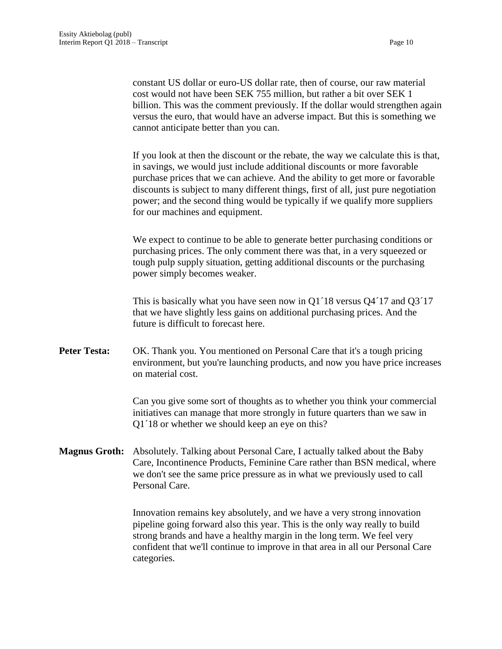constant US dollar or euro-US dollar rate, then of course, our raw material cost would not have been SEK 755 million, but rather a bit over SEK 1 billion. This was the comment previously. If the dollar would strengthen again versus the euro, that would have an adverse impact. But this is something we cannot anticipate better than you can.

If you look at then the discount or the rebate, the way we calculate this is that, in savings, we would just include additional discounts or more favorable purchase prices that we can achieve. And the ability to get more or favorable discounts is subject to many different things, first of all, just pure negotiation power; and the second thing would be typically if we qualify more suppliers for our machines and equipment.

We expect to continue to be able to generate better purchasing conditions or purchasing prices. The only comment there was that, in a very squeezed or tough pulp supply situation, getting additional discounts or the purchasing power simply becomes weaker.

This is basically what you have seen now in Q1´18 versus Q4´17 and Q3´17 that we have slightly less gains on additional purchasing prices. And the future is difficult to forecast here.

Peter Testa: OK. Thank you. You mentioned on Personal Care that it's a tough pricing environment, but you're launching products, and now you have price increases on material cost.

> Can you give some sort of thoughts as to whether you think your commercial initiatives can manage that more strongly in future quarters than we saw in Q1´18 or whether we should keep an eye on this?

**Magnus Groth:** Absolutely. Talking about Personal Care, I actually talked about the Baby Care, Incontinence Products, Feminine Care rather than BSN medical, where we don't see the same price pressure as in what we previously used to call Personal Care.

> Innovation remains key absolutely, and we have a very strong innovation pipeline going forward also this year. This is the only way really to build strong brands and have a healthy margin in the long term. We feel very confident that we'll continue to improve in that area in all our Personal Care categories.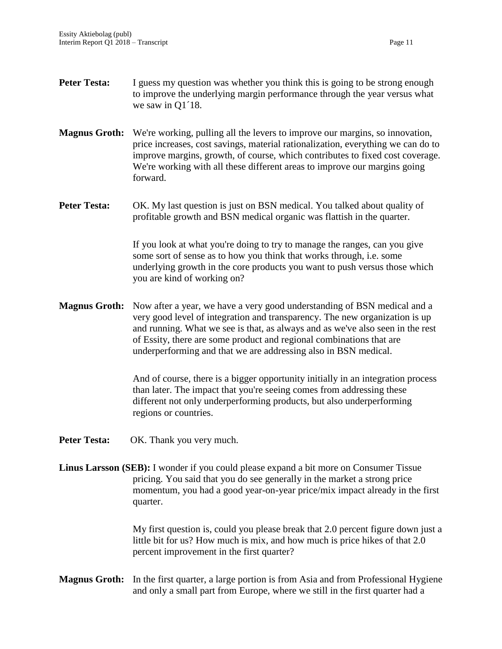- **Peter Testa:** I guess my question was whether you think this is going to be strong enough to improve the underlying margin performance through the year versus what we saw in Q1<sup>18</sup>.
- **Magnus Groth:** We're working, pulling all the levers to improve our margins, so innovation, price increases, cost savings, material rationalization, everything we can do to improve margins, growth, of course, which contributes to fixed cost coverage. We're working with all these different areas to improve our margins going forward.
- **Peter Testa:** OK. My last question is just on BSN medical. You talked about quality of profitable growth and BSN medical organic was flattish in the quarter.

If you look at what you're doing to try to manage the ranges, can you give some sort of sense as to how you think that works through, i.e. some underlying growth in the core products you want to push versus those which you are kind of working on?

**Magnus Groth:** Now after a year, we have a very good understanding of BSN medical and a very good level of integration and transparency. The new organization is up and running. What we see is that, as always and as we've also seen in the rest of Essity, there are some product and regional combinations that are underperforming and that we are addressing also in BSN medical.

> And of course, there is a bigger opportunity initially in an integration process than later. The impact that you're seeing comes from addressing these different not only underperforming products, but also underperforming regions or countries.

- Peter Testa: OK. Thank you very much.
- **Linus Larsson (SEB):** I wonder if you could please expand a bit more on Consumer Tissue pricing. You said that you do see generally in the market a strong price momentum, you had a good year-on-year price/mix impact already in the first quarter.

My first question is, could you please break that 2.0 percent figure down just a little bit for us? How much is mix, and how much is price hikes of that 2.0 percent improvement in the first quarter?

**Magnus Groth:** In the first quarter, a large portion is from Asia and from Professional Hygiene and only a small part from Europe, where we still in the first quarter had a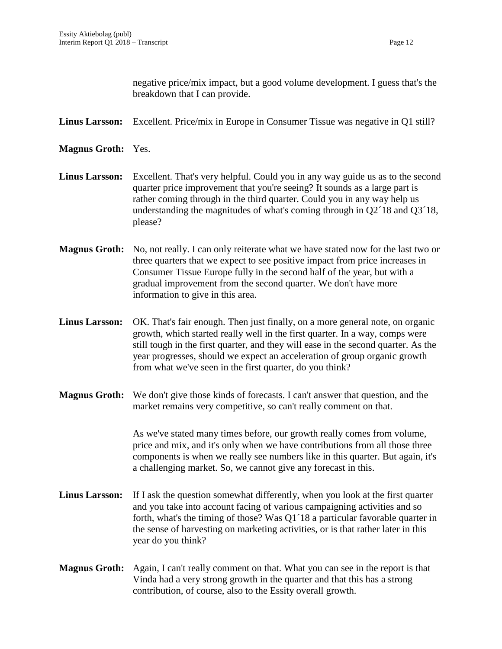negative price/mix impact, but a good volume development. I guess that's the breakdown that I can provide.

- **Linus Larsson:** Excellent. Price/mix in Europe in Consumer Tissue was negative in Q1 still?
- **Magnus Groth:** Yes.
- **Linus Larsson:** Excellent. That's very helpful. Could you in any way guide us as to the second quarter price improvement that you're seeing? It sounds as a large part is rather coming through in the third quarter. Could you in any way help us understanding the magnitudes of what's coming through in Q2´18 and Q3´18, please?
- **Magnus Groth:** No, not really. I can only reiterate what we have stated now for the last two or three quarters that we expect to see positive impact from price increases in Consumer Tissue Europe fully in the second half of the year, but with a gradual improvement from the second quarter. We don't have more information to give in this area.
- **Linus Larsson:** OK. That's fair enough. Then just finally, on a more general note, on organic growth, which started really well in the first quarter. In a way, comps were still tough in the first quarter, and they will ease in the second quarter. As the year progresses, should we expect an acceleration of group organic growth from what we've seen in the first quarter, do you think?
- **Magnus Groth:** We don't give those kinds of forecasts. I can't answer that question, and the market remains very competitive, so can't really comment on that.

As we've stated many times before, our growth really comes from volume, price and mix, and it's only when we have contributions from all those three components is when we really see numbers like in this quarter. But again, it's a challenging market. So, we cannot give any forecast in this.

- **Linus Larsson:** If I ask the question somewhat differently, when you look at the first quarter and you take into account facing of various campaigning activities and so forth, what's the timing of those? Was Q1´18 a particular favorable quarter in the sense of harvesting on marketing activities, or is that rather later in this year do you think?
- **Magnus Groth:** Again, I can't really comment on that. What you can see in the report is that Vinda had a very strong growth in the quarter and that this has a strong contribution, of course, also to the Essity overall growth.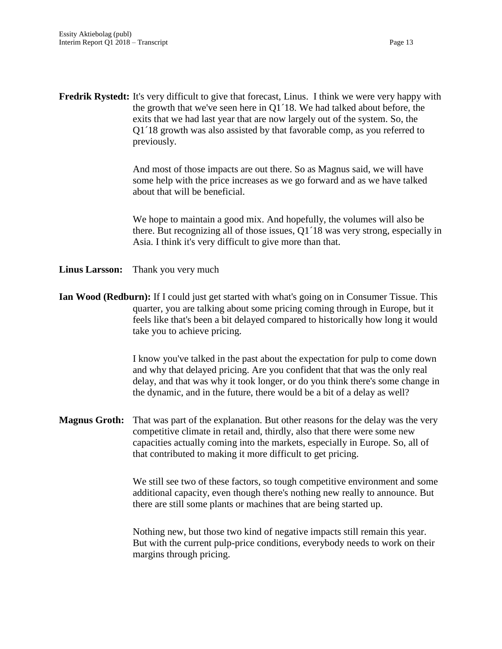**Fredrik Rystedt:** It's very difficult to give that forecast, Linus. I think we were very happy with the growth that we've seen here in Q1´18. We had talked about before, the exits that we had last year that are now largely out of the system. So, the Q1´18 growth was also assisted by that favorable comp, as you referred to previously.

> And most of those impacts are out there. So as Magnus said, we will have some help with the price increases as we go forward and as we have talked about that will be beneficial.

We hope to maintain a good mix. And hopefully, the volumes will also be there. But recognizing all of those issues, Q1´18 was very strong, especially in Asia. I think it's very difficult to give more than that.

- **Linus Larsson:** Thank you very much
- **Ian Wood (Redburn):** If I could just get started with what's going on in Consumer Tissue. This quarter, you are talking about some pricing coming through in Europe, but it feels like that's been a bit delayed compared to historically how long it would take you to achieve pricing.

I know you've talked in the past about the expectation for pulp to come down and why that delayed pricing. Are you confident that that was the only real delay, and that was why it took longer, or do you think there's some change in the dynamic, and in the future, there would be a bit of a delay as well?

**Magnus Groth:** That was part of the explanation. But other reasons for the delay was the very competitive climate in retail and, thirdly, also that there were some new capacities actually coming into the markets, especially in Europe. So, all of that contributed to making it more difficult to get pricing.

> We still see two of these factors, so tough competitive environment and some additional capacity, even though there's nothing new really to announce. But there are still some plants or machines that are being started up.

> Nothing new, but those two kind of negative impacts still remain this year. But with the current pulp-price conditions, everybody needs to work on their margins through pricing.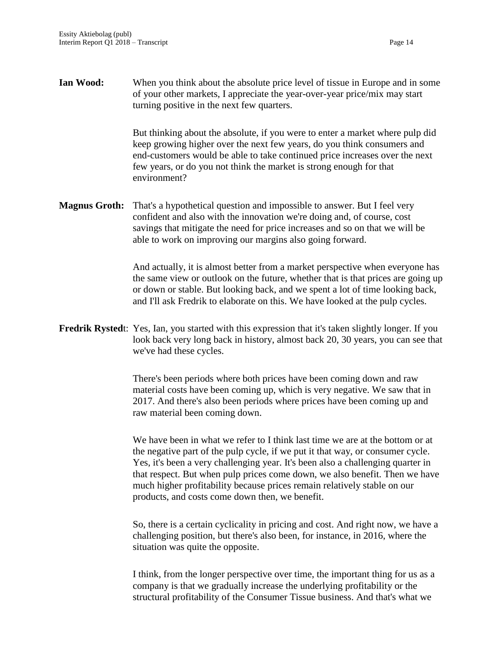**Ian Wood:** When you think about the absolute price level of tissue in Europe and in some of your other markets, I appreciate the year-over-year price/mix may start turning positive in the next few quarters.

> But thinking about the absolute, if you were to enter a market where pulp did keep growing higher over the next few years, do you think consumers and end-customers would be able to take continued price increases over the next few years, or do you not think the market is strong enough for that environment?

**Magnus Groth:** That's a hypothetical question and impossible to answer. But I feel very confident and also with the innovation we're doing and, of course, cost savings that mitigate the need for price increases and so on that we will be able to work on improving our margins also going forward.

> And actually, it is almost better from a market perspective when everyone has the same view or outlook on the future, whether that is that prices are going up or down or stable. But looking back, and we spent a lot of time looking back, and I'll ask Fredrik to elaborate on this. We have looked at the pulp cycles.

**Fredrik Rysted**t: Yes, Ian, you started with this expression that it's taken slightly longer. If you look back very long back in history, almost back 20, 30 years, you can see that we've had these cycles.

> There's been periods where both prices have been coming down and raw material costs have been coming up, which is very negative. We saw that in 2017. And there's also been periods where prices have been coming up and raw material been coming down.

We have been in what we refer to I think last time we are at the bottom or at the negative part of the pulp cycle, if we put it that way, or consumer cycle. Yes, it's been a very challenging year. It's been also a challenging quarter in that respect. But when pulp prices come down, we also benefit. Then we have much higher profitability because prices remain relatively stable on our products, and costs come down then, we benefit.

So, there is a certain cyclicality in pricing and cost. And right now, we have a challenging position, but there's also been, for instance, in 2016, where the situation was quite the opposite.

I think, from the longer perspective over time, the important thing for us as a company is that we gradually increase the underlying profitability or the structural profitability of the Consumer Tissue business. And that's what we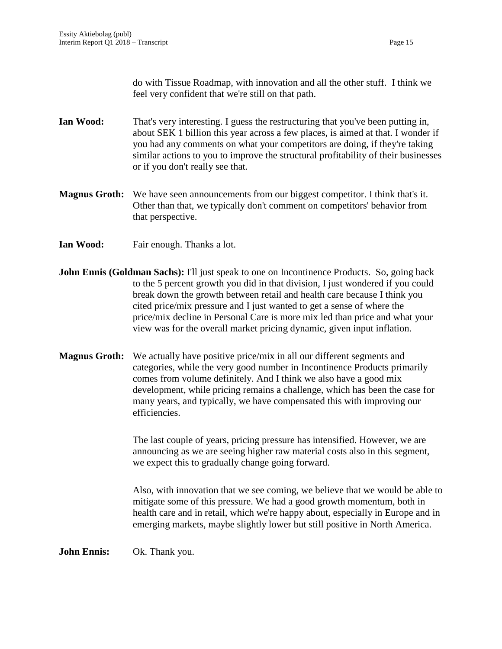do with Tissue Roadmap, with innovation and all the other stuff. I think we feel very confident that we're still on that path.

- **Ian Wood:** That's very interesting. I guess the restructuring that you've been putting in, about SEK 1 billion this year across a few places, is aimed at that. I wonder if you had any comments on what your competitors are doing, if they're taking similar actions to you to improve the structural profitability of their businesses or if you don't really see that.
- **Magnus Groth:** We have seen announcements from our biggest competitor. I think that's it. Other than that, we typically don't comment on competitors' behavior from that perspective.
- **Ian Wood:** Fair enough. Thanks a lot.
- **John Ennis (Goldman Sachs):** I'll just speak to one on Incontinence Products. So, going back to the 5 percent growth you did in that division, I just wondered if you could break down the growth between retail and health care because I think you cited price/mix pressure and I just wanted to get a sense of where the price/mix decline in Personal Care is more mix led than price and what your view was for the overall market pricing dynamic, given input inflation.
- **Magnus Groth:** We actually have positive price/mix in all our different segments and categories, while the very good number in Incontinence Products primarily comes from volume definitely. And I think we also have a good mix development, while pricing remains a challenge, which has been the case for many years, and typically, we have compensated this with improving our efficiencies.

The last couple of years, pricing pressure has intensified. However, we are announcing as we are seeing higher raw material costs also in this segment, we expect this to gradually change going forward.

Also, with innovation that we see coming, we believe that we would be able to mitigate some of this pressure. We had a good growth momentum, both in health care and in retail, which we're happy about, especially in Europe and in emerging markets, maybe slightly lower but still positive in North America.

**John Ennis:** Ok. Thank you.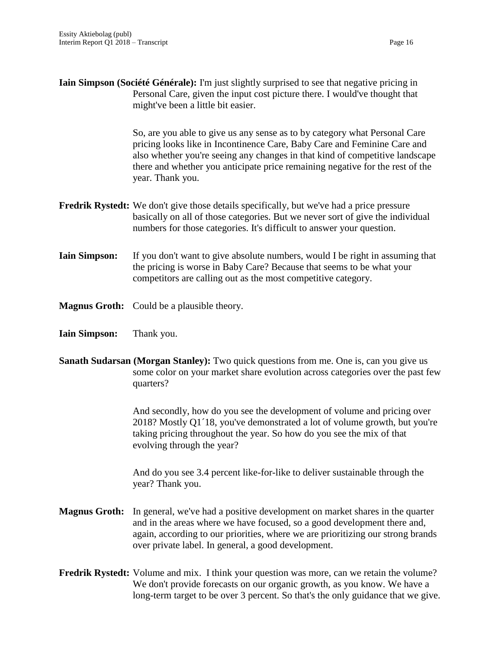**Iain Simpson (Société Générale):** I'm just slightly surprised to see that negative pricing in Personal Care, given the input cost picture there. I would've thought that might've been a little bit easier.

> So, are you able to give us any sense as to by category what Personal Care pricing looks like in Incontinence Care, Baby Care and Feminine Care and also whether you're seeing any changes in that kind of competitive landscape there and whether you anticipate price remaining negative for the rest of the year. Thank you.

- **Fredrik Rystedt:** We don't give those details specifically, but we've had a price pressure basically on all of those categories. But we never sort of give the individual numbers for those categories. It's difficult to answer your question.
- **Iain Simpson:** If you don't want to give absolute numbers, would I be right in assuming that the pricing is worse in Baby Care? Because that seems to be what your competitors are calling out as the most competitive category.
- **Magnus Groth:** Could be a plausible theory.
- **Iain Simpson:** Thank you.
- **Sanath Sudarsan (Morgan Stanley):** Two quick questions from me. One is, can you give us some color on your market share evolution across categories over the past few quarters?

And secondly, how do you see the development of volume and pricing over 2018? Mostly Q1´18, you've demonstrated a lot of volume growth, but you're taking pricing throughout the year. So how do you see the mix of that evolving through the year?

And do you see 3.4 percent like-for-like to deliver sustainable through the year? Thank you.

- **Magnus Groth:** In general, we've had a positive development on market shares in the quarter and in the areas where we have focused, so a good development there and, again, according to our priorities, where we are prioritizing our strong brands over private label. In general, a good development.
- **Fredrik Rystedt:** Volume and mix. I think your question was more, can we retain the volume? We don't provide forecasts on our organic growth, as you know. We have a long-term target to be over 3 percent. So that's the only guidance that we give.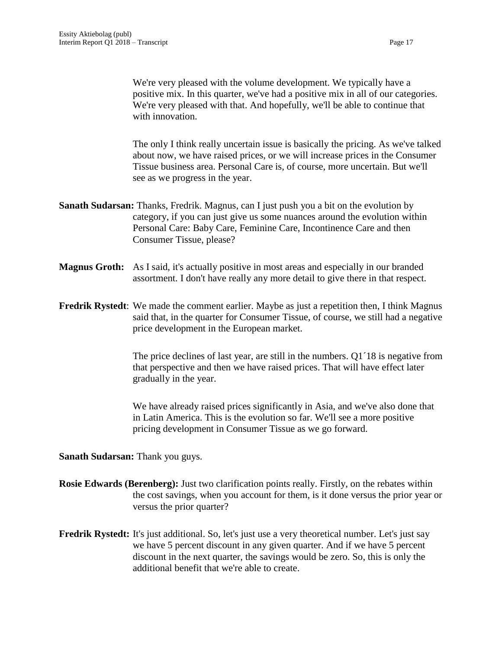We're very pleased with the volume development. We typically have a positive mix. In this quarter, we've had a positive mix in all of our categories. We're very pleased with that. And hopefully, we'll be able to continue that with innovation.

The only I think really uncertain issue is basically the pricing. As we've talked about now, we have raised prices, or we will increase prices in the Consumer Tissue business area. Personal Care is, of course, more uncertain. But we'll see as we progress in the year.

- **Sanath Sudarsan:** Thanks, Fredrik. Magnus, can I just push you a bit on the evolution by category, if you can just give us some nuances around the evolution within Personal Care: Baby Care, Feminine Care, Incontinence Care and then Consumer Tissue, please?
- **Magnus Groth:** As I said, it's actually positive in most areas and especially in our branded assortment. I don't have really any more detail to give there in that respect.
- **Fredrik Rystedt**: We made the comment earlier. Maybe as just a repetition then, I think Magnus said that, in the quarter for Consumer Tissue, of course, we still had a negative price development in the European market.

The price declines of last year, are still in the numbers. Q1´18 is negative from that perspective and then we have raised prices. That will have effect later gradually in the year.

We have already raised prices significantly in Asia, and we've also done that in Latin America. This is the evolution so far. We'll see a more positive pricing development in Consumer Tissue as we go forward.

**Sanath Sudarsan:** Thank you guys.

- **Rosie Edwards (Berenberg):** Just two clarification points really. Firstly, on the rebates within the cost savings, when you account for them, is it done versus the prior year or versus the prior quarter?
- **Fredrik Rystedt:** It's just additional. So, let's just use a very theoretical number. Let's just say we have 5 percent discount in any given quarter. And if we have 5 percent discount in the next quarter, the savings would be zero. So, this is only the additional benefit that we're able to create.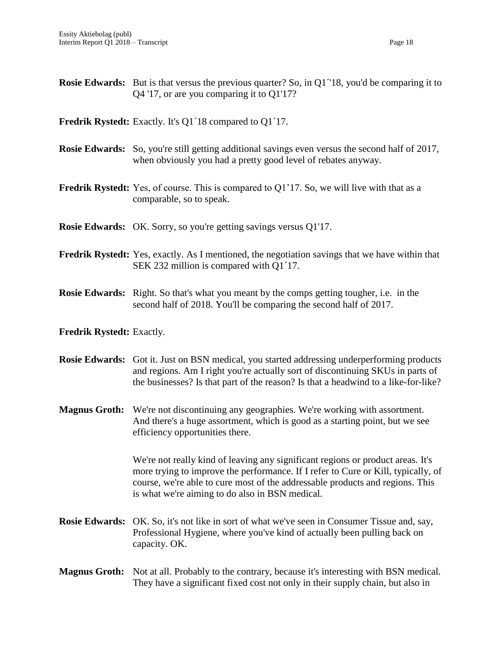| <b>Rosie Edwards:</b> But is that versus the previous quarter? So, in Q1 <sup>-1</sup> 18, you'd be comparing it to |
|---------------------------------------------------------------------------------------------------------------------|
| $Q4'17$ , or are you comparing it to $Q1'17$ ?                                                                      |

**Fredrik Rystedt:** Exactly. It's Q1´18 compared to Q1´17.

- **Rosie Edwards:** So, you're still getting additional savings even versus the second half of 2017, when obviously you had a pretty good level of rebates anyway.
- **Fredrik Rystedt:** Yes, of course. This is compared to Q1'17. So, we will live with that as a comparable, so to speak.

**Rosie Edwards:** OK. Sorry, so you're getting savings versus Q1'17.

- **Fredrik Rystedt:** Yes, exactly. As I mentioned, the negotiation savings that we have within that SEK 232 million is compared with Q1´17.
- **Rosie Edwards:** Right. So that's what you meant by the comps getting tougher, i.e. in the second half of 2018. You'll be comparing the second half of 2017.

#### **Fredrik Rystedt:** Exactly.

- **Rosie Edwards:** Got it. Just on BSN medical, you started addressing underperforming products and regions. Am I right you're actually sort of discontinuing SKUs in parts of the businesses? Is that part of the reason? Is that a headwind to a like-for-like?
- **Magnus Groth:** We're not discontinuing any geographies. We're working with assortment. And there's a huge assortment, which is good as a starting point, but we see efficiency opportunities there.

We're not really kind of leaving any significant regions or product areas. It's more trying to improve the performance. If I refer to Cure or Kill, typically, of course, we're able to cure most of the addressable products and regions. This is what we're aiming to do also in BSN medical.

- **Rosie Edwards:** OK. So, it's not like in sort of what we've seen in Consumer Tissue and, say, Professional Hygiene, where you've kind of actually been pulling back on capacity. OK.
- **Magnus Groth:** Not at all. Probably to the contrary, because it's interesting with BSN medical. They have a significant fixed cost not only in their supply chain, but also in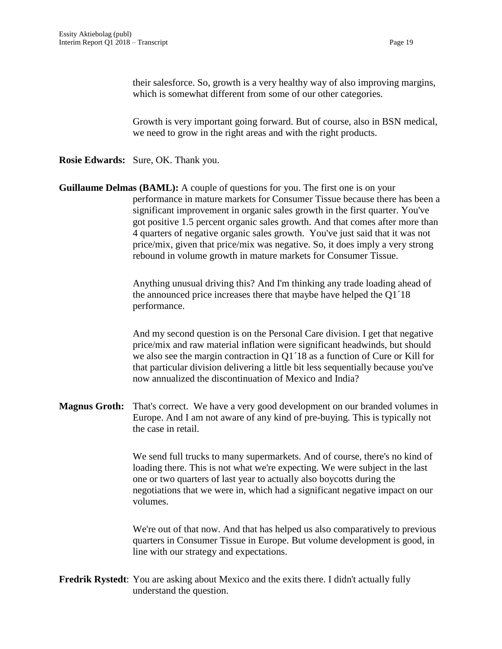their salesforce. So, growth is a very healthy way of also improving margins, which is somewhat different from some of our other categories.

Growth is very important going forward. But of course, also in BSN medical, we need to grow in the right areas and with the right products.

**Rosie Edwards:** Sure, OK. Thank you.

**Guillaume Delmas (BAML):** A couple of questions for you. The first one is on your performance in mature markets for Consumer Tissue because there has been a significant improvement in organic sales growth in the first quarter. You've got positive 1.5 percent organic sales growth. And that comes after more than 4 quarters of negative organic sales growth. You've just said that it was not price/mix, given that price/mix was negative. So, it does imply a very strong rebound in volume growth in mature markets for Consumer Tissue.

> Anything unusual driving this? And I'm thinking any trade loading ahead of the announced price increases there that maybe have helped the Q1´18 performance.

> And my second question is on the Personal Care division. I get that negative price/mix and raw material inflation were significant headwinds, but should we also see the margin contraction in Q1´18 as a function of Cure or Kill for that particular division delivering a little bit less sequentially because you've now annualized the discontinuation of Mexico and India?

**Magnus Groth:** That's correct. We have a very good development on our branded volumes in Europe. And I am not aware of any kind of pre-buying. This is typically not the case in retail.

> We send full trucks to many supermarkets. And of course, there's no kind of loading there. This is not what we're expecting. We were subject in the last one or two quarters of last year to actually also boycotts during the negotiations that we were in, which had a significant negative impact on our volumes.

> We're out of that now. And that has helped us also comparatively to previous quarters in Consumer Tissue in Europe. But volume development is good, in line with our strategy and expectations.

**Fredrik Rystedt**: You are asking about Mexico and the exits there. I didn't actually fully understand the question.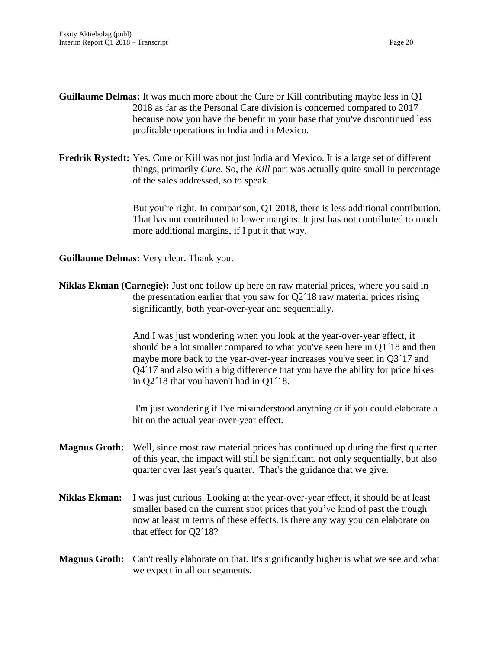- **Guillaume Delmas:** It was much more about the Cure or Kill contributing maybe less in Q1 2018 as far as the Personal Care division is concerned compared to 2017 because now you have the benefit in your base that you've discontinued less profitable operations in India and in Mexico.
- **Fredrik Rystedt:** Yes. Cure or Kill was not just India and Mexico. It is a large set of different things, primarily *Cure*. So, the *Kill* part was actually quite small in percentage of the sales addressed, so to speak.

But you're right. In comparison, Q1 2018, there is less additional contribution. That has not contributed to lower margins. It just has not contributed to much more additional margins, if I put it that way.

**Guillaume Delmas:** Very clear. Thank you.

**Niklas Ekman (Carnegie):** Just one follow up here on raw material prices, where you said in the presentation earlier that you saw for Q2´18 raw material prices rising significantly, both year-over-year and sequentially.

> And I was just wondering when you look at the year-over-year effect, it should be a lot smaller compared to what you've seen here in Q1´18 and then maybe more back to the year-over-year increases you've seen in Q3´17 and Q4´17 and also with a big difference that you have the ability for price hikes in Q2´18 that you haven't had in Q1´18.

> I'm just wondering if I've misunderstood anything or if you could elaborate a bit on the actual year-over-year effect.

- **Magnus Groth:** Well, since most raw material prices has continued up during the first quarter of this year, the impact will still be significant, not only sequentially, but also quarter over last year's quarter. That's the guidance that we give.
- **Niklas Ekman:** I was just curious. Looking at the year-over-year effect, it should be at least smaller based on the current spot prices that you've kind of past the trough now at least in terms of these effects. Is there any way you can elaborate on that effect for Q2´18?

# **Magnus Groth:** Can't really elaborate on that. It's significantly higher is what we see and what we expect in all our segments.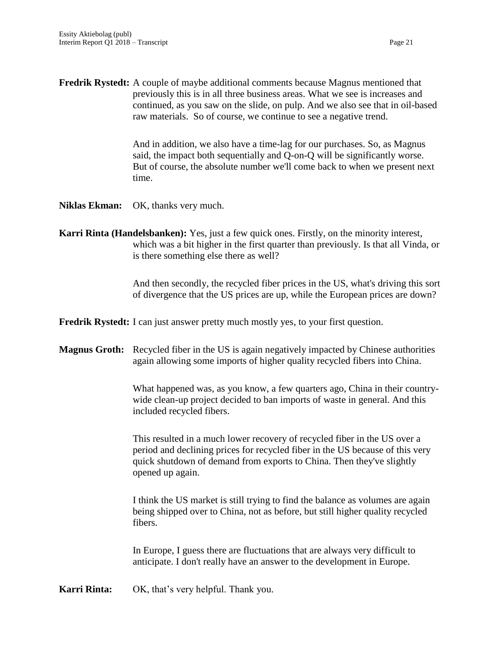**Fredrik Rystedt:** A couple of maybe additional comments because Magnus mentioned that previously this is in all three business areas. What we see is increases and continued, as you saw on the slide, on pulp. And we also see that in oil-based raw materials. So of course, we continue to see a negative trend.

> And in addition, we also have a time-lag for our purchases. So, as Magnus said, the impact both sequentially and Q-on-Q will be significantly worse. But of course, the absolute number we'll come back to when we present next time.

**Niklas Ekman:** OK, thanks very much.

**Karri Rinta (Handelsbanken):** Yes, just a few quick ones. Firstly, on the minority interest, which was a bit higher in the first quarter than previously. Is that all Vinda, or is there something else there as well?

> And then secondly, the recycled fiber prices in the US, what's driving this sort of divergence that the US prices are up, while the European prices are down?

**Fredrik Rystedt:** I can just answer pretty much mostly yes, to your first question.

**Magnus Groth:** Recycled fiber in the US is again negatively impacted by Chinese authorities again allowing some imports of higher quality recycled fibers into China.

> What happened was, as you know, a few quarters ago, China in their countrywide clean-up project decided to ban imports of waste in general. And this included recycled fibers.

This resulted in a much lower recovery of recycled fiber in the US over a period and declining prices for recycled fiber in the US because of this very quick shutdown of demand from exports to China. Then they've slightly opened up again.

I think the US market is still trying to find the balance as volumes are again being shipped over to China, not as before, but still higher quality recycled fibers.

In Europe, I guess there are fluctuations that are always very difficult to anticipate. I don't really have an answer to the development in Europe.

**Karri Rinta:** OK, that's very helpful. Thank you.